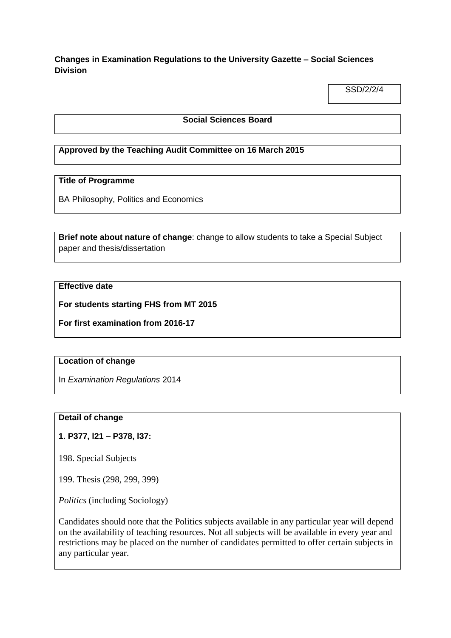## **Changes in Examination Regulations to the University Gazette – Social Sciences Division**

SSD/2/2/4

### **Social Sciences Board**

# **Approved by the Teaching Audit Committee on 16 March 2015**

### **Title of Programme**

BA Philosophy, Politics and Economics

**Brief note about nature of change**: change to allow students to take a Special Subject paper and thesis/dissertation

**Effective date**

**For students starting FHS from MT 2015**

**For first examination from 2016-17**

#### **Location of change**

In *Examination Regulations* 2014

#### **Detail of change**

### **1. P377, l21 – P378, l37:**

198. Special Subjects

199. Thesis (298, 299, 399)

*Politics* (including Sociology)

Candidates should note that the Politics subjects available in any particular year will depend on the availability of teaching resources. Not all subjects will be available in every year and restrictions may be placed on the number of candidates permitted to offer certain subjects in any particular year.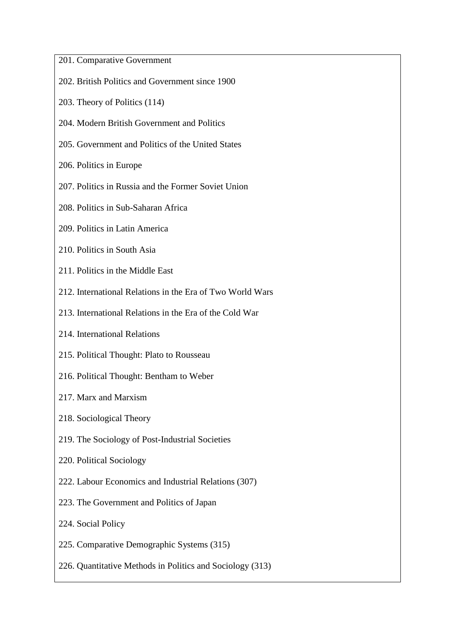201. Comparative Government

- 202. British Politics and Government since 1900
- 203. Theory of Politics (114)
- 204. Modern British Government and Politics

205. Government and Politics of the United States

- 206. Politics in Europe
- 207. Politics in Russia and the Former Soviet Union
- 208. Politics in Sub-Saharan Africa
- 209. Politics in Latin America
- 210. Politics in South Asia
- 211. Politics in the Middle East
- 212. International Relations in the Era of Two World Wars
- 213. International Relations in the Era of the Cold War
- 214. International Relations
- 215. Political Thought: Plato to Rousseau
- 216. Political Thought: Bentham to Weber
- 217. Marx and Marxism
- 218. Sociological Theory
- 219. The Sociology of Post-Industrial Societies
- 220. Political Sociology
- 222. Labour Economics and Industrial Relations (307)
- 223. The Government and Politics of Japan
- 224. Social Policy
- 225. Comparative Demographic Systems (315)
- 226. Quantitative Methods in Politics and Sociology (313)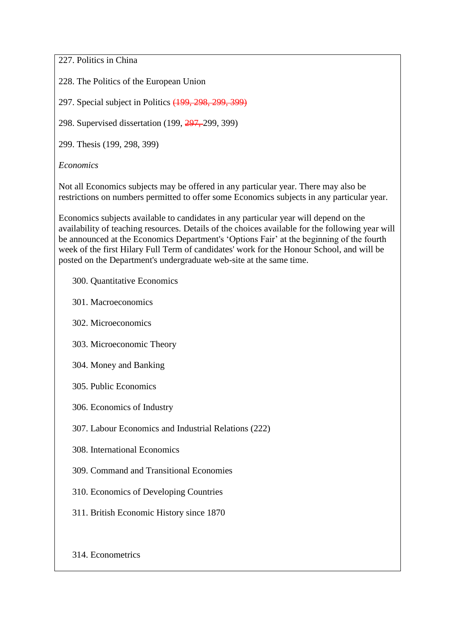227. Politics in China

228. The Politics of the European Union

297. Special subject in Politics (199, 298, 299, 399)

298. Supervised dissertation (199, 297, 299, 399)

299. Thesis (199, 298, 399)

*Economics*

Not all Economics subjects may be offered in any particular year. There may also be restrictions on numbers permitted to offer some Economics subjects in any particular year.

Economics subjects available to candidates in any particular year will depend on the availability of teaching resources. Details of the choices available for the following year will be announced at the Economics Department's 'Options Fair' at the beginning of the fourth week of the first Hilary Full Term of candidates' work for the Honour School, and will be posted on the Department's undergraduate web-site at the same time.

- 300. Quantitative Economics
- 301. Macroeconomics
- 302. Microeconomics
- 303. Microeconomic Theory
- 304. Money and Banking
- 305. Public Economics
- 306. Economics of Industry
- 307. Labour Economics and Industrial Relations (222)
- 308. International Economics
- 309. Command and Transitional Economies
- 310. Economics of Developing Countries
- 311. British Economic History since 1870
- 314. Econometrics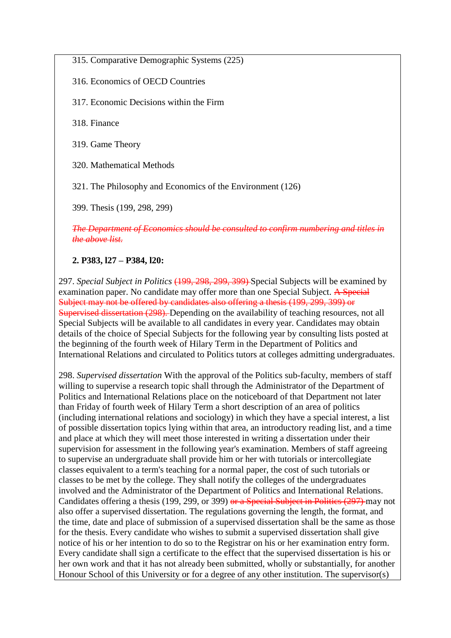315. Comparative Demographic Systems (225)

316. Economics of OECD Countries

317. Economic Decisions within the Firm

318. Finance

319. Game Theory

320. Mathematical Methods

321. The Philosophy and Economics of the Environment (126)

399. Thesis (199, 298, 299)

*The Department of Economics should be consulted to confirm numbering and titles in the above list.*

# **2. P383, l27 – P384, l20:**

297. *Special Subject in Politics* (199, 298, 299, 399) Special Subjects will be examined by examination paper. No candidate may offer more than one Special Subject. A Special Subject may not be offered by candidates also offering a thesis (199, 299, 399) or Supervised dissertation (298). Depending on the availability of teaching resources, not all Special Subjects will be available to all candidates in every year. Candidates may obtain details of the choice of Special Subjects for the following year by consulting lists posted at the beginning of the fourth week of Hilary Term in the Department of Politics and International Relations and circulated to Politics tutors at colleges admitting undergraduates.

298. *Supervised dissertation* With the approval of the Politics sub-faculty, members of staff willing to supervise a research topic shall through the Administrator of the Department of Politics and International Relations place on the noticeboard of that Department not later than Friday of fourth week of Hilary Term a short description of an area of politics (including international relations and sociology) in which they have a special interest, a list of possible dissertation topics lying within that area, an introductory reading list, and a time and place at which they will meet those interested in writing a dissertation under their supervision for assessment in the following year's examination. Members of staff agreeing to supervise an undergraduate shall provide him or her with tutorials or intercollegiate classes equivalent to a term's teaching for a normal paper, the cost of such tutorials or classes to be met by the college. They shall notify the colleges of the undergraduates involved and the Administrator of the Department of Politics and International Relations. Candidates offering a thesis (199, 299, or 399) or a Special Subject in Politics (297) may not also offer a supervised dissertation. The regulations governing the length, the format, and the time, date and place of submission of a supervised dissertation shall be the same as those for the thesis. Every candidate who wishes to submit a supervised dissertation shall give notice of his or her intention to do so to the Registrar on his or her examination entry form. Every candidate shall sign a certificate to the effect that the supervised dissertation is his or her own work and that it has not already been submitted, wholly or substantially, for another Honour School of this University or for a degree of any other institution. The supervisor(s)